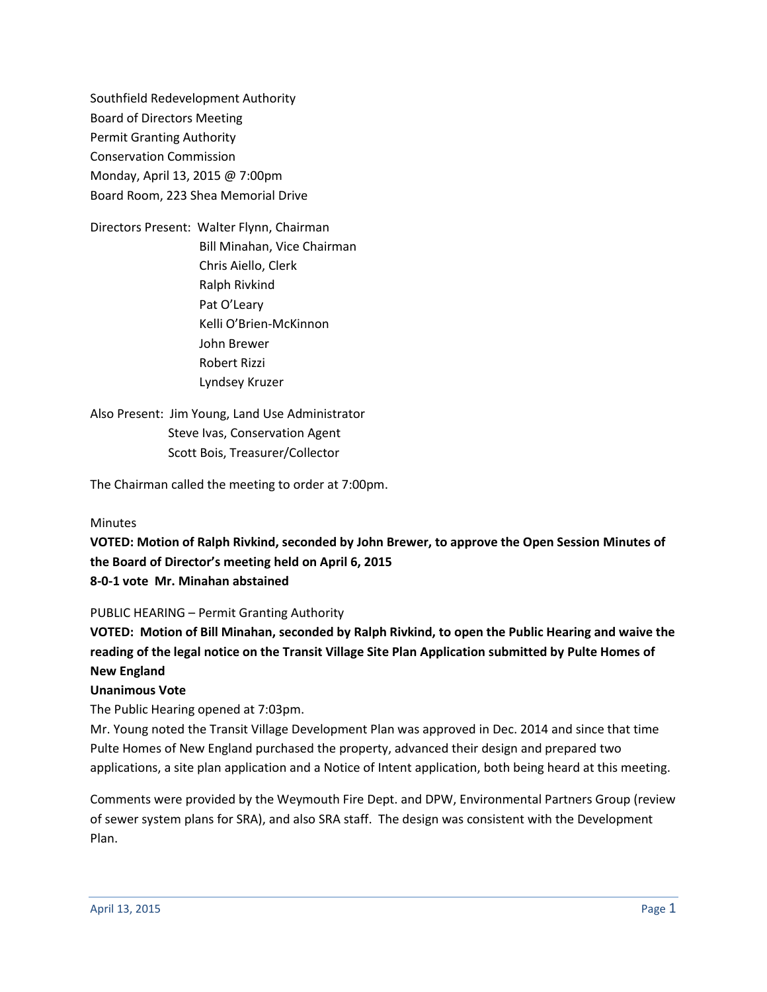Southfield Redevelopment Authority Board of Directors Meeting Permit Granting Authority Conservation Commission Monday, April 13, 2015 @ 7:00pm Board Room, 223 Shea Memorial Drive

Directors Present: Walter Flynn, Chairman Bill Minahan, Vice Chairman Chris Aiello, Clerk Ralph Rivkind Pat O'Leary Kelli O'Brien-McKinnon John Brewer Robert Rizzi Lyndsey Kruzer

Also Present: Jim Young, Land Use Administrator Steve Ivas, Conservation Agent Scott Bois, Treasurer/Collector

The Chairman called the meeting to order at 7:00pm.

#### Minutes

**VOTED: Motion of Ralph Rivkind, seconded by John Brewer, to approve the Open Session Minutes of the Board of Director's meeting held on April 6, 2015 8-0-1 vote Mr. Minahan abstained**

#### PUBLIC HEARING – Permit Granting Authority

**VOTED: Motion of Bill Minahan, seconded by Ralph Rivkind, to open the Public Hearing and waive the reading of the legal notice on the Transit Village Site Plan Application submitted by Pulte Homes of New England**

#### **Unanimous Vote**

The Public Hearing opened at 7:03pm.

Mr. Young noted the Transit Village Development Plan was approved in Dec. 2014 and since that time Pulte Homes of New England purchased the property, advanced their design and prepared two applications, a site plan application and a Notice of Intent application, both being heard at this meeting.

Comments were provided by the Weymouth Fire Dept. and DPW, Environmental Partners Group (review of sewer system plans for SRA), and also SRA staff. The design was consistent with the Development Plan.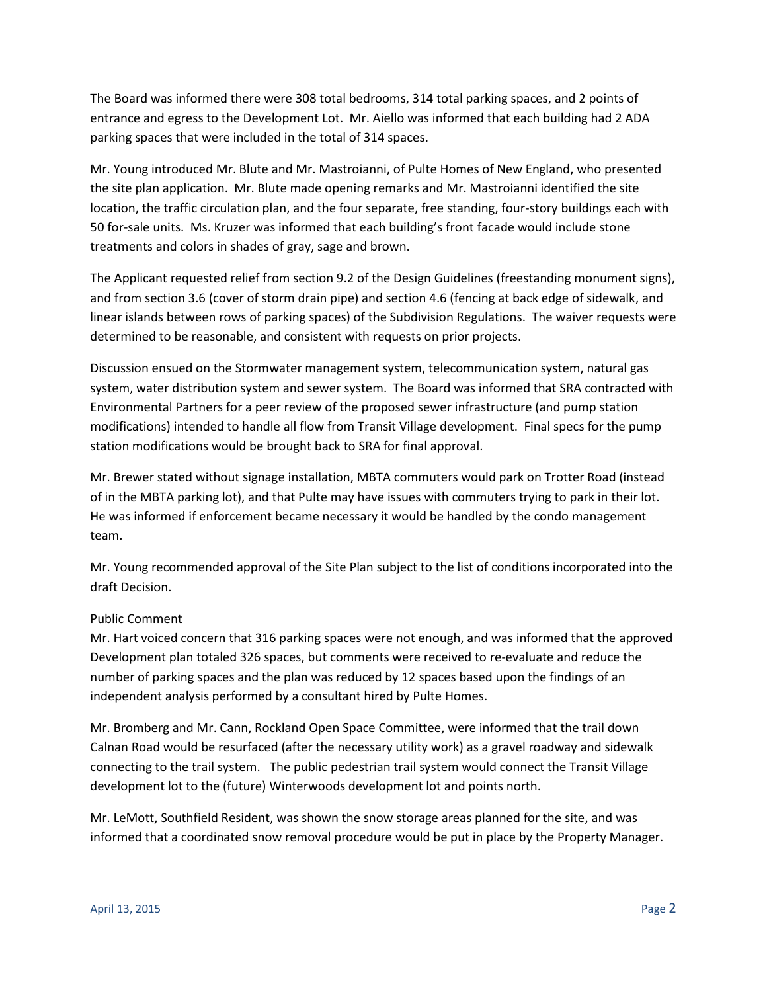The Board was informed there were 308 total bedrooms, 314 total parking spaces, and 2 points of entrance and egress to the Development Lot. Mr. Aiello was informed that each building had 2 ADA parking spaces that were included in the total of 314 spaces.

Mr. Young introduced Mr. Blute and Mr. Mastroianni, of Pulte Homes of New England, who presented the site plan application. Mr. Blute made opening remarks and Mr. Mastroianni identified the site location, the traffic circulation plan, and the four separate, free standing, four-story buildings each with 50 for-sale units. Ms. Kruzer was informed that each building's front facade would include stone treatments and colors in shades of gray, sage and brown.

The Applicant requested relief from section 9.2 of the Design Guidelines (freestanding monument signs), and from section 3.6 (cover of storm drain pipe) and section 4.6 (fencing at back edge of sidewalk, and linear islands between rows of parking spaces) of the Subdivision Regulations. The waiver requests were determined to be reasonable, and consistent with requests on prior projects.

Discussion ensued on the Stormwater management system, telecommunication system, natural gas system, water distribution system and sewer system. The Board was informed that SRA contracted with Environmental Partners for a peer review of the proposed sewer infrastructure (and pump station modifications) intended to handle all flow from Transit Village development. Final specs for the pump station modifications would be brought back to SRA for final approval.

Mr. Brewer stated without signage installation, MBTA commuters would park on Trotter Road (instead of in the MBTA parking lot), and that Pulte may have issues with commuters trying to park in their lot. He was informed if enforcement became necessary it would be handled by the condo management team.

Mr. Young recommended approval of the Site Plan subject to the list of conditions incorporated into the draft Decision.

# Public Comment

Mr. Hart voiced concern that 316 parking spaces were not enough, and was informed that the approved Development plan totaled 326 spaces, but comments were received to re-evaluate and reduce the number of parking spaces and the plan was reduced by 12 spaces based upon the findings of an independent analysis performed by a consultant hired by Pulte Homes.

Mr. Bromberg and Mr. Cann, Rockland Open Space Committee, were informed that the trail down Calnan Road would be resurfaced (after the necessary utility work) as a gravel roadway and sidewalk connecting to the trail system. The public pedestrian trail system would connect the Transit Village development lot to the (future) Winterwoods development lot and points north.

Mr. LeMott, Southfield Resident, was shown the snow storage areas planned for the site, and was informed that a coordinated snow removal procedure would be put in place by the Property Manager.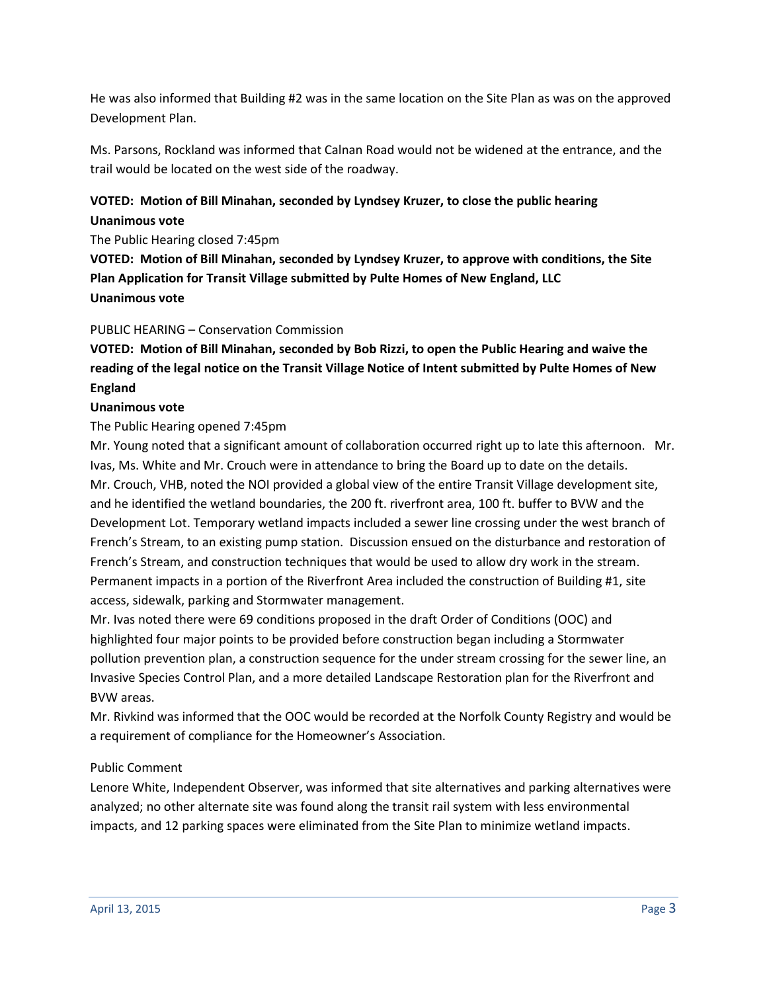He was also informed that Building #2 was in the same location on the Site Plan as was on the approved Development Plan.

Ms. Parsons, Rockland was informed that Calnan Road would not be widened at the entrance, and the trail would be located on the west side of the roadway.

# **VOTED: Motion of Bill Minahan, seconded by Lyndsey Kruzer, to close the public hearing Unanimous vote**

The Public Hearing closed 7:45pm

**VOTED: Motion of Bill Minahan, seconded by Lyndsey Kruzer, to approve with conditions, the Site Plan Application for Transit Village submitted by Pulte Homes of New England, LLC Unanimous vote**

## PUBLIC HEARING – Conservation Commission

**VOTED: Motion of Bill Minahan, seconded by Bob Rizzi, to open the Public Hearing and waive the reading of the legal notice on the Transit Village Notice of Intent submitted by Pulte Homes of New England**

## **Unanimous vote**

## The Public Hearing opened 7:45pm

Mr. Young noted that a significant amount of collaboration occurred right up to late this afternoon. Mr. Ivas, Ms. White and Mr. Crouch were in attendance to bring the Board up to date on the details. Mr. Crouch, VHB, noted the NOI provided a global view of the entire Transit Village development site, and he identified the wetland boundaries, the 200 ft. riverfront area, 100 ft. buffer to BVW and the Development Lot. Temporary wetland impacts included a sewer line crossing under the west branch of French's Stream, to an existing pump station. Discussion ensued on the disturbance and restoration of French's Stream, and construction techniques that would be used to allow dry work in the stream. Permanent impacts in a portion of the Riverfront Area included the construction of Building #1, site access, sidewalk, parking and Stormwater management.

Mr. Ivas noted there were 69 conditions proposed in the draft Order of Conditions (OOC) and highlighted four major points to be provided before construction began including a Stormwater pollution prevention plan, a construction sequence for the under stream crossing for the sewer line, an Invasive Species Control Plan, and a more detailed Landscape Restoration plan for the Riverfront and BVW areas.

Mr. Rivkind was informed that the OOC would be recorded at the Norfolk County Registry and would be a requirement of compliance for the Homeowner's Association.

### Public Comment

Lenore White, Independent Observer, was informed that site alternatives and parking alternatives were analyzed; no other alternate site was found along the transit rail system with less environmental impacts, and 12 parking spaces were eliminated from the Site Plan to minimize wetland impacts.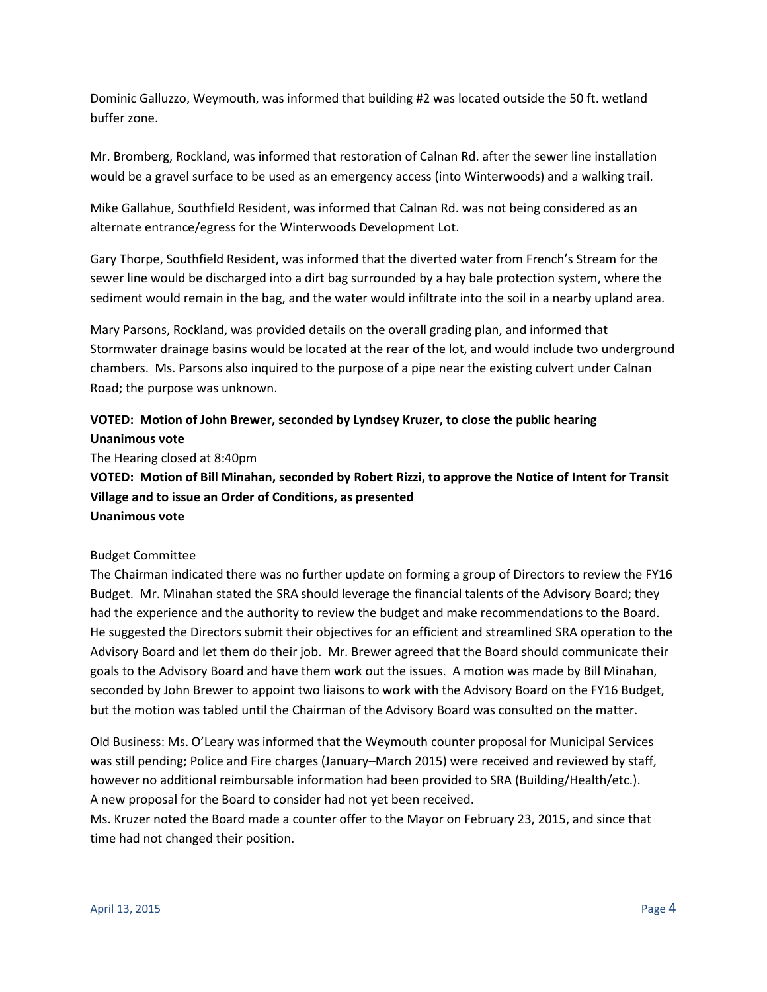Dominic Galluzzo, Weymouth, was informed that building #2 was located outside the 50 ft. wetland buffer zone.

Mr. Bromberg, Rockland, was informed that restoration of Calnan Rd. after the sewer line installation would be a gravel surface to be used as an emergency access (into Winterwoods) and a walking trail.

Mike Gallahue, Southfield Resident, was informed that Calnan Rd. was not being considered as an alternate entrance/egress for the Winterwoods Development Lot.

Gary Thorpe, Southfield Resident, was informed that the diverted water from French's Stream for the sewer line would be discharged into a dirt bag surrounded by a hay bale protection system, where the sediment would remain in the bag, and the water would infiltrate into the soil in a nearby upland area.

Mary Parsons, Rockland, was provided details on the overall grading plan, and informed that Stormwater drainage basins would be located at the rear of the lot, and would include two underground chambers. Ms. Parsons also inquired to the purpose of a pipe near the existing culvert under Calnan Road; the purpose was unknown.

# **VOTED: Motion of John Brewer, seconded by Lyndsey Kruzer, to close the public hearing Unanimous vote**

The Hearing closed at 8:40pm

**VOTED: Motion of Bill Minahan, seconded by Robert Rizzi, to approve the Notice of Intent for Transit Village and to issue an Order of Conditions, as presented Unanimous vote**

### Budget Committee

The Chairman indicated there was no further update on forming a group of Directors to review the FY16 Budget. Mr. Minahan stated the SRA should leverage the financial talents of the Advisory Board; they had the experience and the authority to review the budget and make recommendations to the Board. He suggested the Directors submit their objectives for an efficient and streamlined SRA operation to the Advisory Board and let them do their job. Mr. Brewer agreed that the Board should communicate their goals to the Advisory Board and have them work out the issues. A motion was made by Bill Minahan, seconded by John Brewer to appoint two liaisons to work with the Advisory Board on the FY16 Budget, but the motion was tabled until the Chairman of the Advisory Board was consulted on the matter.

Old Business: Ms. O'Leary was informed that the Weymouth counter proposal for Municipal Services was still pending; Police and Fire charges (January–March 2015) were received and reviewed by staff, however no additional reimbursable information had been provided to SRA (Building/Health/etc.). A new proposal for the Board to consider had not yet been received.

Ms. Kruzer noted the Board made a counter offer to the Mayor on February 23, 2015, and since that time had not changed their position.